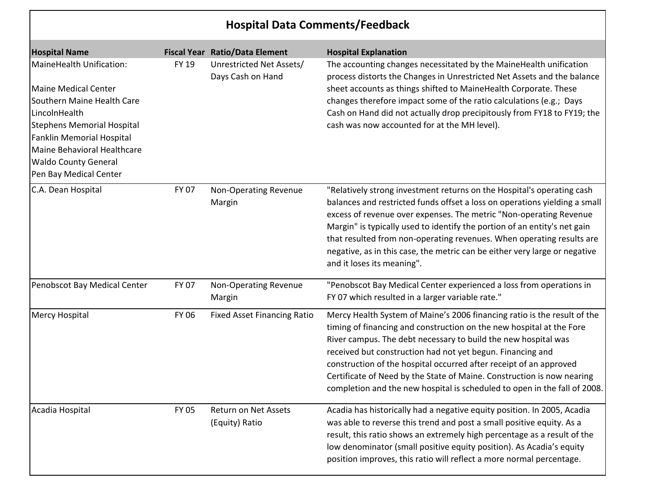| <b>Hospital Data Comments/Feedback</b>                                                                                                                                                                                                                                  |              |                                               |                                                                                                                                                                                                                                                                                                                                                                                                                                                                                                               |  |
|-------------------------------------------------------------------------------------------------------------------------------------------------------------------------------------------------------------------------------------------------------------------------|--------------|-----------------------------------------------|---------------------------------------------------------------------------------------------------------------------------------------------------------------------------------------------------------------------------------------------------------------------------------------------------------------------------------------------------------------------------------------------------------------------------------------------------------------------------------------------------------------|--|
| <b>Hospital Name</b>                                                                                                                                                                                                                                                    |              | <b>Fiscal Year Ratio/Data Element</b>         | <b>Hospital Explanation</b>                                                                                                                                                                                                                                                                                                                                                                                                                                                                                   |  |
| MaineHealth Unification:<br><b>Maine Medical Center</b><br>Southern Maine Health Care<br>LincolnHealth<br><b>Stephens Memorial Hospital</b><br><b>Fanklin Memorial Hospital</b><br>Maine Behavioral Healthcare<br><b>Waldo County General</b><br>Pen Bay Medical Center | <b>FY 19</b> | Unrestricted Net Assets/<br>Days Cash on Hand | The accounting changes necessitated by the MaineHealth unification<br>process distorts the Changes in Unrestricted Net Assets and the balance<br>sheet accounts as things shifted to MaineHealth Corporate. These<br>changes therefore impact some of the ratio calculations (e.g.; Days<br>Cash on Hand did not actually drop precipitously from FY18 to FY19; the<br>cash was now accounted for at the MH level).                                                                                           |  |
| C.A. Dean Hospital                                                                                                                                                                                                                                                      | <b>FY 07</b> | <b>Non-Operating Revenue</b><br>Margin        | "Relatively strong investment returns on the Hospital's operating cash<br>balances and restricted funds offset a loss on operations yielding a small<br>excess of revenue over expenses. The metric "Non-operating Revenue<br>Margin" is typically used to identify the portion of an entity's net gain<br>that resulted from non-operating revenues. When operating results are<br>negative, as in this case, the metric can be either very large or negative<br>and it loses its meaning".                  |  |
| Penobscot Bay Medical Center                                                                                                                                                                                                                                            | FY 07        | Non-Operating Revenue<br>Margin               | "Penobscot Bay Medical Center experienced a loss from operations in<br>FY 07 which resulted in a larger variable rate."                                                                                                                                                                                                                                                                                                                                                                                       |  |
| <b>Mercy Hospital</b>                                                                                                                                                                                                                                                   | <b>FY 06</b> | <b>Fixed Asset Financing Ratio</b>            | Mercy Health System of Maine's 2006 financing ratio is the result of the<br>timing of financing and construction on the new hospital at the Fore<br>River campus. The debt necessary to build the new hospital was<br>received but construction had not yet begun. Financing and<br>construction of the hospital occurred after receipt of an approved<br>Certificate of Need by the State of Maine. Construction is now nearing<br>completion and the new hospital is scheduled to open in the fall of 2008. |  |
| Acadia Hospital                                                                                                                                                                                                                                                         | <b>FY 05</b> | Return on Net Assets<br>(Equity) Ratio        | Acadia has historically had a negative equity position. In 2005, Acadia<br>was able to reverse this trend and post a small positive equity. As a<br>result, this ratio shows an extremely high percentage as a result of the<br>low denominator (small positive equity position). As Acadia's equity<br>position improves, this ratio will reflect a more normal percentage.                                                                                                                                  |  |